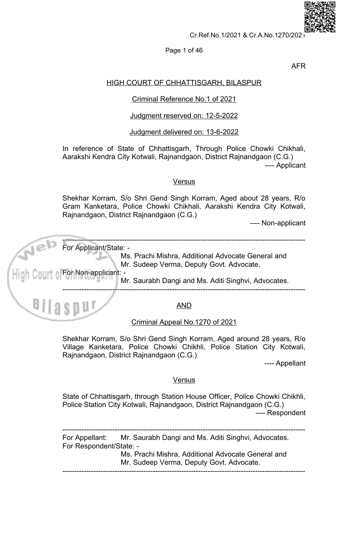

# Page 1 of 46

**AFR** 

# **HIGH COURT OF CHHATTISGARH, BILASPUR**

# Criminal Reference No.1 of 2021

# Judgment reserved on: 12-5-2022

# Judgment delivered on: 13-6-2022

In reference of State of Chhattisgarh, Through Police Chowki Chikhali, Aarakshi Kendra City Kotwali, Rajnandgaon, District Rajnandgaon (C.G.) ---- Applicant

## **Versus**

Shekhar Korram, S/o Shri Gend Singh Korram, Aged about 28 years, R/o Gram Kanketara, Police Chowki Chikhali, Aarakshi Kendra City Kotwali, Rajnandgaon, District Rajnandgaon (C.G.)

---- Non-applicant



Shekhar Korram, S/o Shri Gend Singh Korram, Aged around 28 years, R/o Village Kanketara, Police Chowki Chikhli, Police Station City Kotwali, Rajnandgaon, District Rajnandgaon (C.G.)

---- Appellant

# **Versus**

State of Chhattisgarh, through Station House Officer, Police Chowki Chikhli, Police Station City Kotwali, Rajnandgaon, District Rajnandgaon (C.G.) ---- Respondent

For Appellant: Mr. Saurabh Dangi and Ms. Aditi Singhvi, Advocates. For Respondent/State: -

> Ms. Prachi Mishra, Additional Advocate General and Mr. Sudeep Verma, Deputy Govt. Advocate.

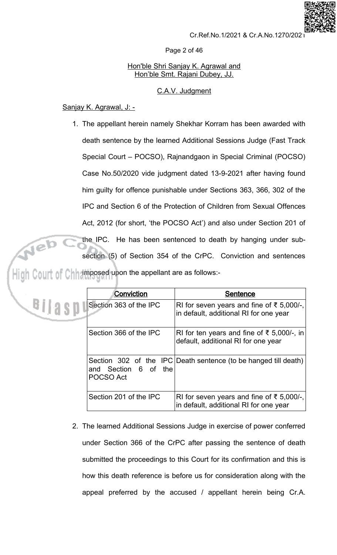Page 2 of 46

# Hon'ble Shri Sanjay K. Agrawal and Hon'ble Smt. Rajani Dubey, JJ.

# C.A.V. Judgment

# Sanjay K. Agrawal, J: -

Bilasp

1. The appellant herein namely Shekhar Korram has been awarded with death sentence by the learned Additional Sessions Judge (Fast Track Special Court - POCSO), Rajnandgaon in Special Criminal (POCSO) Case No.50/2020 vide judgment dated 13-9-2021 after having found him guilty for offence punishable under Sections 363, 366, 302 of the IPC and Section 6 of the Protection of Children from Sexual Offences Act, 2012 (for short, 'the POCSO Act') and also under Section 201 of the IPC. He has been sentenced to death by hanging under subsection (5) of Section 354 of the CrPC. Conviction and sentences imposed upon the appellant are as follows:-

| Conviction                        | <b>Sentence</b>                                                                     |
|-----------------------------------|-------------------------------------------------------------------------------------|
| Section 363 of the IPC            | RI for seven years and fine of ₹ 5,000/-,<br>in default, additional RI for one year |
| Section 366 of the IPC            | RI for ten years and fine of ₹ 5,000/-, in<br>default, additional RI for one year   |
| and Section 6 of the<br>POCSO Act | Section 302 of the IPC Death sentence (to be hanged till death)                     |
| Section 201 of the IPC            | RI for seven years and fine of ₹ 5,000/-,<br>in default, additional RI for one year |

2. The learned Additional Sessions Judge in exercise of power conferred under Section 366 of the CrPC after passing the sentence of death submitted the proceedings to this Court for its confirmation and this is how this death reference is before us for consideration along with the appeal preferred by the accused / appellant herein being Cr.A.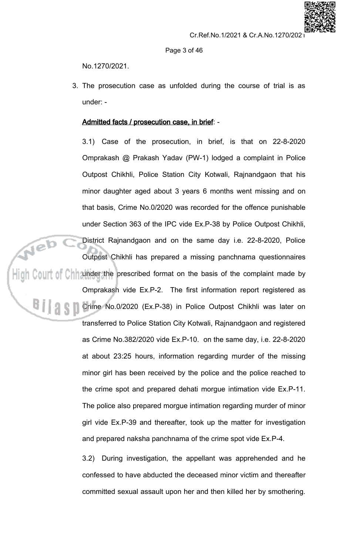

Page 3 of 46

No.1270/2021.

3. The prosecution case as unfolded during the course of trial is as under: -

# Admitted facts / prosecution case, in brief: -

3.1) Case of the prosecution, in brief, is that on 22-8-2020 Omprakash @ Prakash Yadav (PW-1) lodged a complaint in Police Outpost Chikhli, Police Station City Kotwali, Rajnandgaon that his minor daughter aged about 3 years 6 months went missing and on that basis, Crime No.0/2020 was recorded for the offence punishable under Section 363 of the IPC vide Ex.P-38 by Police Outpost Chikhli, District Rajnandgaon and on the same day i.e. 22-8-2020, Police

Outpost Chikhli has prepared a missing panchnama questionnaires  $\frac{1}{2}$  of Chinander the prescribed format on the basis of the complaint made by

> Omprakash vide Ex.P-2. The first information report registered as Crime No.0/2020 (Ex.P-38) in Police Outpost Chikhli was later on transferred to Police Station City Kotwali, Rajnandgaon and registered as Crime No.382/2020 vide Ex.P-10. on the same day, i.e. 22-8-2020 at about 23:25 hours, information regarding murder of the missing minor girl has been received by the police and the police reached to the crime spot and prepared dehati morgue intimation vide Ex.P-11. The police also prepared morgue intimation regarding murder of minor girl vide Ex.P-39 and thereafter, took up the matter for investigation and prepared naksha panchnama of the crime spot vide Ex.P-4.

> > $3.2)$ During investigation, the appellant was apprehended and he confessed to have abducted the deceased minor victim and thereafter committed sexual assault upon her and then killed her by smothering.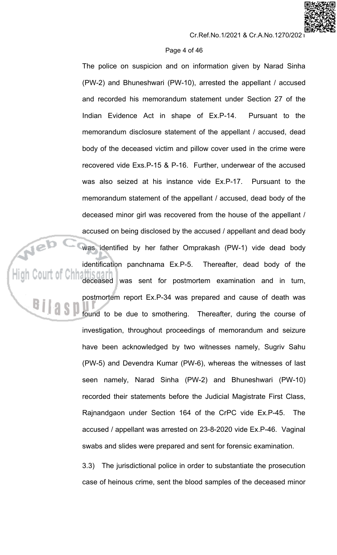## Page 4 of 46

The police on suspicion and on information given by Narad Sinha (PW-2) and Bhuneshwari (PW-10), arrested the appellant / accused and recorded his memorandum statement under Section 27 of the Indian Evidence Act in shape of Ex.P-14. Pursuant to the memorandum disclosure statement of the appellant / accused, dead body of the deceased victim and pillow cover used in the crime were recovered vide Exs.P-15 & P-16. Further, underwear of the accused was also seized at his instance vide Ex.P-17. Pursuant to the memorandum statement of the appellant / accused, dead body of the deceased minor girl was recovered from the house of the appellant / accused on being disclosed by the accused / appellant and dead body was identified by her father Omprakash (PW-1) vide dead body identification panchnama Ex.P-5. Thereafter, dead body of the deceased was sent for postmortem examination and in turn, postmortem report Ex.P-34 was prepared and cause of death was found to be due to smothering. Thereafter, during the course of investigation, throughout proceedings of memorandum and seizure have been acknowledged by two witnesses namely, Sugriv Sahu (PW-5) and Devendra Kumar (PW-6), whereas the witnesses of last seen namely, Narad Sinha (PW-2) and Bhuneshwari (PW-10) recorded their statements before the Judicial Magistrate First Class, Rajnandgaon under Section 164 of the CrPC vide Ex.P-45. **The** accused / appellant was arrested on 23-8-2020 vide Ex.P-46. Vaginal swabs and slides were prepared and sent for forensic examination.

The jurisdictional police in order to substantiate the prosecution  $3.3)$ case of heinous crime, sent the blood samples of the deceased minor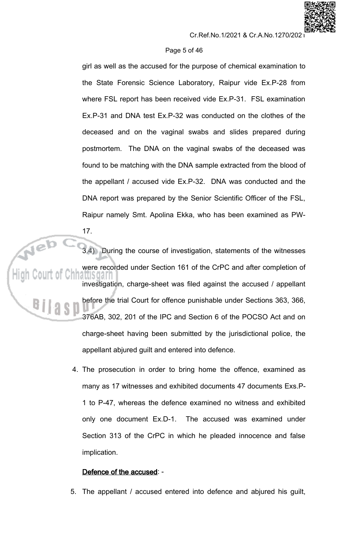# Page 5 of 46

girl as well as the accused for the purpose of chemical examination to the State Forensic Science Laboratory, Raipur vide Ex.P-28 from where FSL report has been received vide Ex.P-31. FSL examination Ex.P-31 and DNA test Ex.P-32 was conducted on the clothes of the deceased and on the vaginal swabs and slides prepared during postmortem. The DNA on the vaginal swabs of the deceased was found to be matching with the DNA sample extracted from the blood of the appellant / accused vide Ex.P-32. DNA was conducted and the DNA report was prepared by the Senior Scientific Officer of the FSL, Raipur namely Smt. Apolina Ekka, who has been examined as PW-

3.4) During the course of investigation, statements of the witnesses were recorded under Section 161 of the CrPC and after completion of atus dar investigation, charge-sheet was filed against the accused / appellant before the trial Court for offence punishable under Sections 363, 366, 376AB, 302, 201 of the IPC and Section 6 of the POCSO Act and on charge-sheet having been submitted by the jurisdictional police, the appellant abjured guilt and entered into defence.

> 4. The prosecution in order to bring home the offence, examined as many as 17 witnesses and exhibited documents 47 documents Exs.P-1 to P-47, whereas the defence examined no witness and exhibited only one document Ex.D-1. The accused was examined under Section 313 of the CrPC in which he pleaded innocence and false implication.

# Defence of the accused: -

 $17.$ 

5. The appellant / accused entered into defence and abjured his guilt,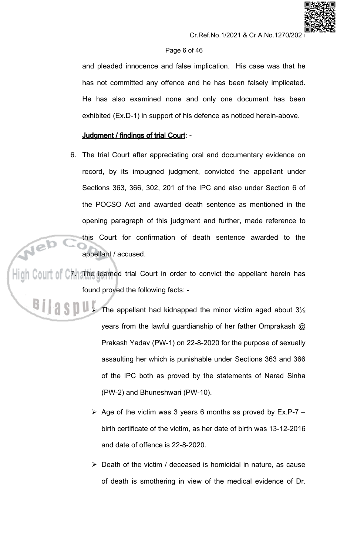# Page 6 of 46

and pleaded innocence and false implication. His case was that he has not committed any offence and he has been falsely implicated. He has also examined none and only one document has been exhibited (Ex.D-1) in support of his defence as noticed herein-above.

# Judgment / findings of trial Court: -

6. The trial Court after appreciating oral and documentary evidence on record, by its impugned judgment, convicted the appellant under Sections 363, 366, 302, 201 of the IPC and also under Section 6 of the POCSO Act and awarded death sentence as mentioned in the opening paragraph of this judgment and further, made reference to this Court for confirmation of death sentence awarded to the appellant / accused.

High Court of C7. The learned trial Court in order to convict the appellant herein has found proved the following facts: -

- The appellant had kidnapped the minor victim aged about 3½ years from the lawful guardianship of her father Omprakash  $@$ Prakash Yadav (PW-1) on 22-8-2020 for the purpose of sexually assaulting her which is punishable under Sections 363 and 366 of the IPC both as proved by the statements of Narad Sinha (PW-2) and Bhuneshwari (PW-10).
	- $\triangleright$  Age of the victim was 3 years 6 months as proved by Ex.P-7 birth certificate of the victim, as her date of birth was 13-12-2016 and date of offence is 22-8-2020.
	- $\triangleright$  Death of the victim / deceased is homicidal in nature, as cause of death is smothering in view of the medical evidence of Dr.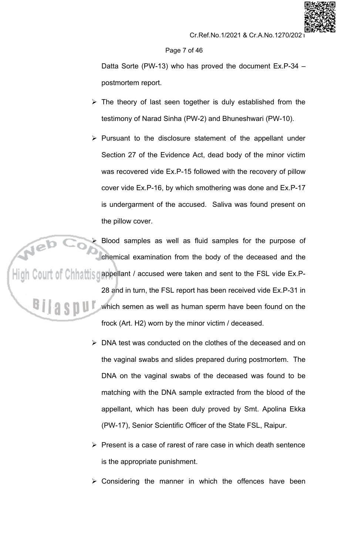# Page 7 of 46

Datta Sorte (PW-13) who has proved the document Ex.P-34 postmortem report.

- $\triangleright$  The theory of last seen together is duly established from the testimony of Narad Sinha (PW-2) and Bhuneshwari (PW-10).
- $\triangleright$  Pursuant to the disclosure statement of the appellant under Section 27 of the Evidence Act, dead body of the minor victim was recovered vide Ex.P-15 followed with the recovery of pillow cover vide Ex.P-16, by which smothering was done and Ex.P-17 is undergarment of the accused. Saliva was found present on the pillow cover.

Blood samples as well as fluid samples for the purpose of chemical examination from the body of the deceased and the High Court of Chhattis gappellant / accused were taken and sent to the FSL vide Ex.P-28 and in turn, the FSL report has been received vide Ex.P-31 in which semen as well as human sperm have been found on the frock (Art. H2) worn by the minor victim / deceased.

- $\triangleright$  DNA test was conducted on the clothes of the deceased and on the vaginal swabs and slides prepared during postmortem. The DNA on the vaginal swabs of the deceased was found to be matching with the DNA sample extracted from the blood of the appellant, which has been duly proved by Smt. Apolina Ekka (PW-17), Senior Scientific Officer of the State FSL, Raipur.
- > Present is a case of rarest of rare case in which death sentence is the appropriate punishment.
- $\triangleright$  Considering the manner in which the offences have been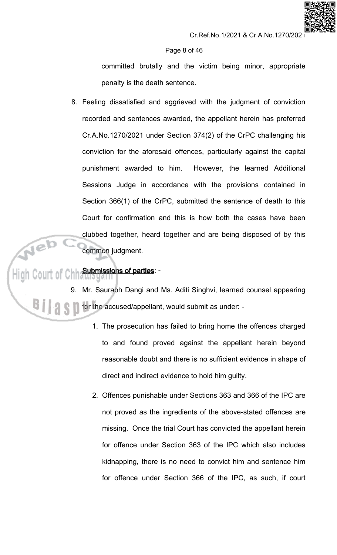# Page 8 of 46

committed brutally and the victim being minor, appropriate penalty is the death sentence.

8. Feeling dissatisfied and aggrieved with the judgment of conviction recorded and sentences awarded, the appellant herein has preferred Cr.A.No.1270/2021 under Section 374(2) of the CrPC challenging his conviction for the aforesaid offences, particularly against the capital punishment awarded to him. However, the learned Additional Sessions Judge in accordance with the provisions contained in Section 366(1) of the CrPC, submitted the sentence of death to this Court for confirmation and this is how both the cases have been clubbed together, heard together and are being disposed of by this common judgment.

# **Submissions of parties: -**

Mr. Saurabh Dangi and Ms. Aditi Singhvi, learned counsel appearing for the accused/appellant, would submit as under: -

- 1. The prosecution has failed to bring home the offences charged to and found proved against the appellant herein beyond reasonable doubt and there is no sufficient evidence in shape of direct and indirect evidence to hold him guilty.
- 2. Offences punishable under Sections 363 and 366 of the IPC are not proved as the ingredients of the above-stated offences are missing. Once the trial Court has convicted the appellant herein for offence under Section 363 of the IPC which also includes kidnapping, there is no need to convict him and sentence him for offence under Section 366 of the IPC, as such, if court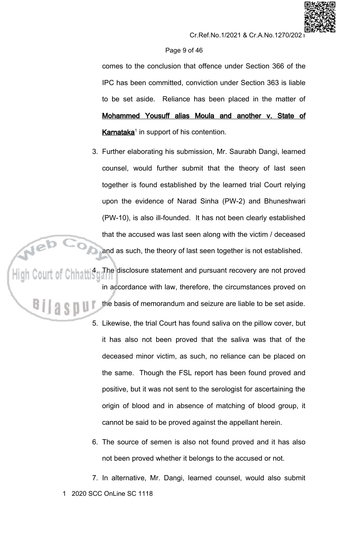# Page 9 of 46

comes to the conclusion that offence under Section 366 of the IPC has been committed, conviction under Section 363 is liable to be set aside. Reliance has been placed in the matter of Mohammed Yousuff alias Moula and another v. State of Karnataka<sup>1</sup> in support of his contention.

3. Further elaborating his submission, Mr. Saurabh Dangi, learned counsel, would further submit that the theory of last seen together is found established by the learned trial Court relying upon the evidence of Narad Sinha (PW-2) and Bhuneshwari (PW-10), is also ill-founded. It has not been clearly established that the accused was last seen along with the victim / deceased

and as such, the theory of last seen together is not established.<br>High Court of Chhatti 4. The disclosure statement and pursuant recovery are not proved in accordance with law, therefore, the circumstances proved on the basis of memorandum and seizure are liable to be set aside.

- 5. Likewise, the trial Court has found saliva on the pillow cover, but it has also not been proved that the saliva was that of the deceased minor victim, as such, no reliance can be placed on the same. Though the FSL report has been found proved and positive, but it was not sent to the serologist for ascertaining the origin of blood and in absence of matching of blood group, it cannot be said to be proved against the appellant herein.
- 6. The source of semen is also not found proved and it has also not been proved whether it belongs to the accused or not.

7. In alternative, Mr. Dangi, learned counsel, would also submit 1 2020 SCC OnLine SC 1118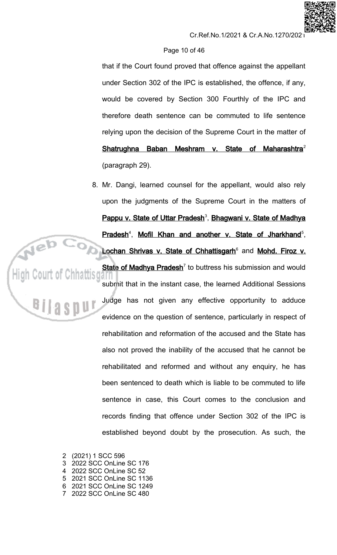# Page 10 of 46

that if the Court found proved that offence against the appellant under Section 302 of the IPC is established, the offence, if any, would be covered by Section 300 Fourthly of the IPC and therefore death sentence can be commuted to life sentence relying upon the decision of the Supreme Court in the matter of Shatrughna Baban Meshram v. State of Maharashtra<sup>2</sup> (paragraph 29).

8. Mr. Dangi, learned counsel for the appellant, would also rely upon the judgments of the Supreme Court in the matters of Pappu v. State of Uttar Pradesh<sup>3</sup>, Bhagwani v. State of Madhya Pradesh<sup>4</sup>, Mofil Khan and another v. State of Jharkhand<sup>5</sup>, Lochan Shrivas v. State of Chhattisgarh<sup>6</sup> and Mohd. Firoz v. State of Madhya Pradesh<sup>7</sup> to buttress his submission and would submit that in the instant case, the learned Additional Sessions Judge has not given any effective opportunity to adduce evidence on the question of sentence, particularly in respect of rehabilitation and reformation of the accused and the State has also not proved the inability of the accused that he cannot be rehabilitated and reformed and without any enquiry, he has been sentenced to death which is liable to be commuted to life sentence in case, this Court comes to the conclusion and records finding that offence under Section 302 of the IPC is established beyond doubt by the prosecution. As such, the

2 (2021) 1 SCC 596 2022 SCC OnLine SC 176  $\mathcal{S}$  $\mathbf{\Lambda}$ 2022 SCC OnLine SC 52 5 2021 SCC OnLine SC 1136 6 2021 SCC OnLine SC 1249 7 2022 SCC OnLine SC 480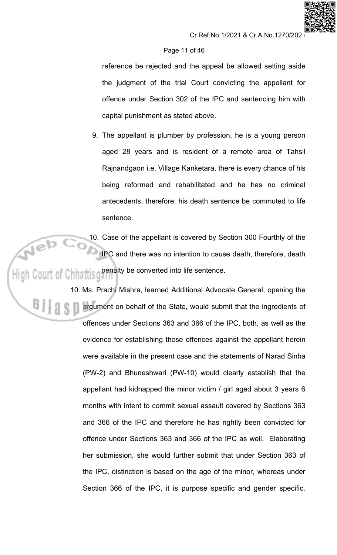# Page 11 of 46

reference be rejected and the appeal be allowed setting aside the judgment of the trial Court convicting the appellant for offence under Section 302 of the IPC and sentencing him with capital punishment as stated above.

9. The appellant is plumber by profession, he is a young person aged 28 years and is resident of a remote area of Tahsil Rajnandgaon i.e. Village Kanketara, there is every chance of his being reformed and rehabilitated and he has no criminal antecedents, therefore, his death sentence be commuted to life sentence.

10. Case of the appellant is covered by Section 300 Fourthly of the IPC and there was no intention to cause death, therefore, death High Court of Chhattisgeenalty be converted into life sentence.

> 10. Ms. Prachi Mishra, learned Additional Advocate General, opening the argument on behalf of the State, would submit that the ingredients of offences under Sections 363 and 366 of the IPC, both, as well as the evidence for establishing those offences against the appellant herein were available in the present case and the statements of Narad Sinha (PW-2) and Bhuneshwari (PW-10) would clearly establish that the appellant had kidnapped the minor victim / girl aged about 3 years 6 months with intent to commit sexual assault covered by Sections 363 and 366 of the IPC and therefore he has rightly been convicted for offence under Sections 363 and 366 of the IPC as well. Elaborating her submission, she would further submit that under Section 363 of the IPC, distinction is based on the age of the minor, whereas under Section 366 of the IPC, it is purpose specific and gender specific.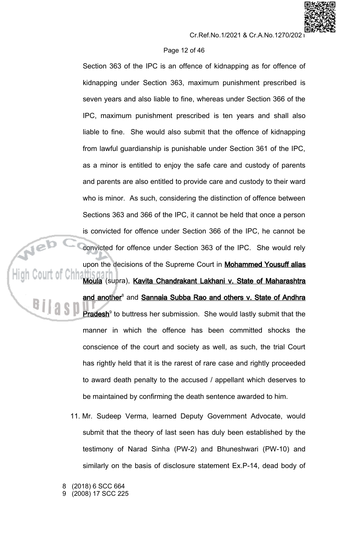# Page 12 of 46

Section 363 of the IPC is an offence of kidnapping as for offence of kidnapping under Section 363, maximum punishment prescribed is seven years and also liable to fine, whereas under Section 366 of the IPC, maximum punishment prescribed is ten years and shall also liable to fine. She would also submit that the offence of kidnapping from lawful guardianship is punishable under Section 361 of the IPC, as a minor is entitled to enjoy the safe care and custody of parents and parents are also entitled to provide care and custody to their ward who is minor. As such, considering the distinction of offence between Sections 363 and 366 of the IPC, it cannot be held that once a person is convicted for offence under Section 366 of the IPC, he cannot be convicted for offence under Section 363 of the IPC. She would rely upon the decisions of the Supreme Court in Mohammed Yousuff alias Moula (supra), Kavita Chandrakant Lakhani v. State of Maharashtra and another<sup>8</sup> and Sannaia Subba Rao and others v. State of Andhra Pradesh<sup>9</sup> to buttress her submission. She would lastly submit that the manner in which the offence has been committed shocks the conscience of the court and society as well, as such, the trial Court has rightly held that it is the rarest of rare case and rightly proceeded to award death penalty to the accused / appellant which deserves to be maintained by confirming the death sentence awarded to him.

- 11. Mr. Sudeep Verma, learned Deputy Government Advocate, would submit that the theory of last seen has duly been established by the testimony of Narad Sinha (PW-2) and Bhuneshwari (PW-10) and similarly on the basis of disclosure statement Ex.P-14, dead body of
- (2018) 6 SCC 664
- (2008) 17 SCC 225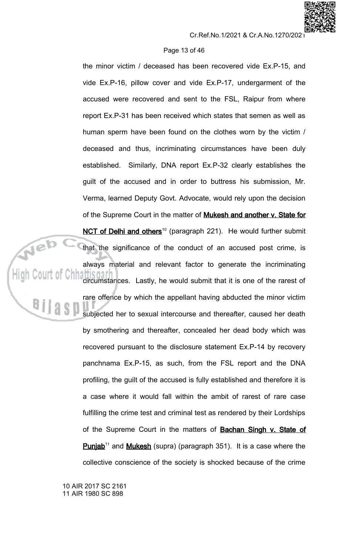# Page 13 of 46

the minor victim / deceased has been recovered vide Ex.P-15, and vide Ex.P-16, pillow cover and vide Ex.P-17, undergarment of the accused were recovered and sent to the FSL, Raipur from where report Ex.P-31 has been received which states that semen as well as human sperm have been found on the clothes worn by the victim / deceased and thus, incriminating circumstances have been duly Similarly, DNA report Ex.P-32 clearly establishes the established. guilt of the accused and in order to buttress his submission, Mr. Verma, learned Deputy Govt. Advocate, would rely upon the decision of the Supreme Court in the matter of Mukesh and another v. State for NCT of Delhi and others<sup>10</sup> (paragraph 221). He would further submit that the significance of the conduct of an accused post crime, is always material and relevant factor to generate the incriminating circumstances. Lastly, he would submit that it is one of the rarest of rare offence by which the appellant having abducted the minor victim subjected her to sexual intercourse and thereafter, caused her death by smothering and thereafter, concealed her dead body which was recovered pursuant to the disclosure statement Ex.P-14 by recovery panchnama Ex.P-15, as such, from the FSL report and the DNA profiling, the guilt of the accused is fully established and therefore it is a case where it would fall within the ambit of rarest of rare case fulfilling the crime test and criminal test as rendered by their Lordships of the Supreme Court in the matters of **Bachan Singh v. State of Punjab**<sup>11</sup> and **Mukesh** (supra) (paragraph 351). It is a case where the collective conscience of the society is shocked because of the crime

10 AIR 2017 SC 2161 11 AIR 1980 SC 898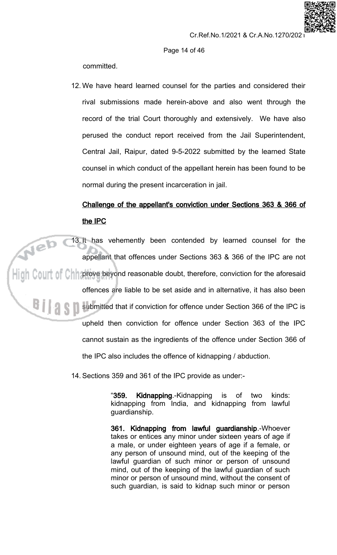# Page 14 of 46

committed.

12. We have heard learned counsel for the parties and considered their rival submissions made herein-above and also went through the record of the trial Court thoroughly and extensively. We have also perused the conduct report received from the Jail Superintendent, Central Jail, Raipur, dated 9-5-2022 submitted by the learned State counsel in which conduct of the appellant herein has been found to be normal during the present incarceration in jail.

# Challenge of the appellant's conviction under Sections 363 & 366 of the IPC

13. It has vehemently been contended by learned counsel for the appellant that offences under Sections 363 & 366 of the IPC are not  $\|\cdot\|$  Collit of Chipprove beyond reasonable doubt, therefore, conviction for the aforesaid offences are liable to be set aside and in alternative, it has also been submitted that if conviction for offence under Section 366 of the IPC is A S N upheld then conviction for offence under Section 363 of the IPC cannot sustain as the ingredients of the offence under Section 366 of the IPC also includes the offence of kidnapping / abduction.

14. Sections 359 and 361 of the IPC provide as under:-

"359. Kidnapping.-Kidnapping is of two kinds: kidnapping from India, and kidnapping from lawful guardianship.

361. Kidnapping from lawful guardianship.-Whoever takes or entices any minor under sixteen years of age if a male, or under eighteen years of age if a female, or any person of unsound mind, out of the keeping of the lawful guardian of such minor or person of unsound mind, out of the keeping of the lawful quardian of such minor or person of unsound mind, without the consent of such quardian, is said to kidnap such minor or person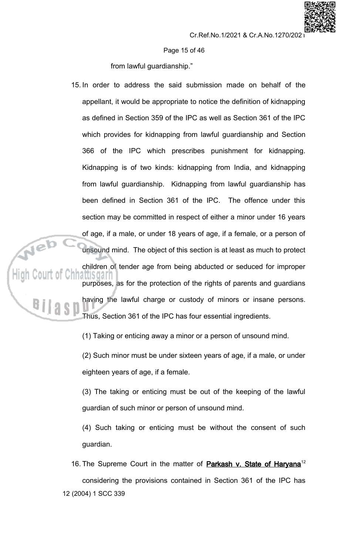Page 15 of 46

from lawful guardianship."

15. In order to address the said submission made on behalf of the appellant, it would be appropriate to notice the definition of kidnapping as defined in Section 359 of the IPC as well as Section 361 of the IPC which provides for kidnapping from lawful guardianship and Section 366 of the IPC which prescribes punishment for kidnapping. Kidnapping is of two kinds: kidnapping from India, and kidnapping from lawful guardianship. Kidnapping from lawful guardianship has been defined in Section 361 of the IPC. The offence under this section may be committed in respect of either a minor under 16 years of age, if a male, or under 18 years of age, if a female, or a person of unsound mind. The object of this section is at least as much to protect children of tender age from being abducted or seduced for improper atusoan purposes, as for the protection of the rights of parents and guardians having the lawful charge or custody of minors or insane persons. Thus, Section 361 of the IPC has four essential ingredients.

(1) Taking or enticing away a minor or a person of unsound mind.

(2) Such minor must be under sixteen years of age, if a male, or under eighteen years of age, if a female.

(3) The taking or enticing must be out of the keeping of the lawful guardian of such minor or person of unsound mind.

(4) Such taking or enticing must be without the consent of such guardian.

16. The Supreme Court in the matter of **Parkash v. State of Haryana**<sup>12</sup> considering the provisions contained in Section 361 of the IPC has 12 (2004) 1 SCC 339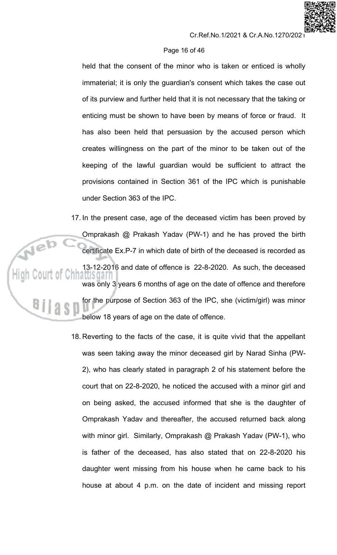# Page 16 of 46

held that the consent of the minor who is taken or enticed is wholly immaterial; it is only the guardian's consent which takes the case out of its purview and further held that it is not necessary that the taking or enticing must be shown to have been by means of force or fraud. It has also been held that persuasion by the accused person which creates willingness on the part of the minor to be taken out of the keeping of the lawful guardian would be sufficient to attract the provisions contained in Section 361 of the IPC which is punishable under Section 363 of the IPC.

17. In the present case, age of the deceased victim has been proved by Omprakash @ Prakash Yadav (PW-1) and he has proved the birth certificate Ex.P-7 in which date of birth of the deceased is recorded as 13-12-2016 and date of offence is 22-8-2020. As such, the deceased attis dar was only 3 years 6 months of age on the date of offence and therefore for the purpose of Section 363 of the IPC, she (victim/girl) was minor below 18 years of age on the date of offence.

18. Reverting to the facts of the case, it is quite vivid that the appellant was seen taking away the minor deceased girl by Narad Sinha (PW-2), who has clearly stated in paragraph 2 of his statement before the court that on 22-8-2020, he noticed the accused with a minor girl and on being asked, the accused informed that she is the daughter of Omprakash Yadav and thereafter, the accused returned back along with minor girl. Similarly, Omprakash @ Prakash Yadav (PW-1), who is father of the deceased, has also stated that on 22-8-2020 his daughter went missing from his house when he came back to his house at about 4 p.m. on the date of incident and missing report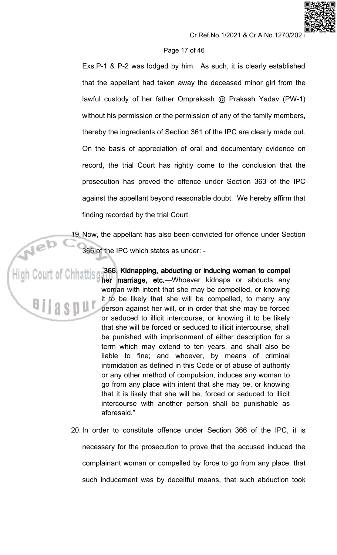# Page 17 of 46

Exs.P-1 & P-2 was lodged by him. As such, it is clearly established that the appellant had taken away the deceased minor girl from the lawful custody of her father Omprakash @ Prakash Yadav (PW-1) without his permission or the permission of any of the family members, thereby the ingredients of Section 361 of the IPC are clearly made out. On the basis of appreciation of oral and documentary evidence on record, the trial Court has rightly come to the conclusion that the prosecution has proved the offence under Section 363 of the IPC against the appellant beyond reasonable doubt. We hereby affirm that finding recorded by the trial Court.

19. Now, the appellant has also been convicted for offence under Section 366 of the IPC which states as under: -

High Court of Chhattis gas Sec. Kidnapping, abducting or inducing woman to component of Chhattis gaser marriage, etc.—Whoever kidnaps or abducts any woman with intent that she may be compelled, or knowing it to be likely that she will be compelled, to marry any person against her will, or in order that she may be forced or seduced to illicit intercourse, or knowing it to be likely that she will be forced or seduced to illicit intercourse, shall be punished with imprisonment of either description for a term which may extend to ten years, and shall also be liable to fine; and whoever, by means of criminal intimidation as defined in this Code or of abuse of authority or any other method of compulsion, induces any woman to go from any place with intent that she may be, or knowing that it is likely that she will be, forced or seduced to illicit intercourse with another person shall be punishable as aforesaid."

> 20. In order to constitute offence under Section 366 of the IPC, it is necessary for the prosecution to prove that the accused induced the complainant woman or compelled by force to go from any place, that such inducement was by deceitful means, that such abduction took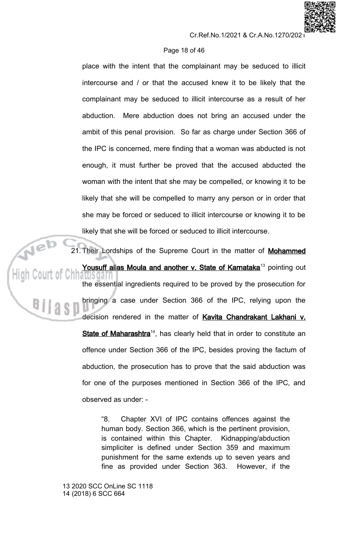# Page 18 of 46

place with the intent that the complainant may be seduced to illicit intercourse and / or that the accused knew it to be likely that the complainant may be seduced to illicit intercourse as a result of her Mere abduction does not bring an accused under the abduction. ambit of this penal provision. So far as charge under Section 366 of the IPC is concerned, mere finding that a woman was abducted is not enough, it must further be proved that the accused abducted the woman with the intent that she may be compelled, or knowing it to be likely that she will be compelled to marry any person or in order that she may be forced or seduced to illicit intercourse or knowing it to be likely that she will be forced or seduced to illicit intercourse.

21. Their Lordships of the Supreme Court in the matter of Mohammed Yousuff alias Moula and another v. State of Karnataka<sup>13</sup> pointing out the essential ingredients required to be proved by the prosecution for bringing a case under Section 366 of the IPC, relying upon the decision rendered in the matter of Kavita Chandrakant Lakhani v. State of Maharashtra<sup>14</sup>, has clearly held that in order to constitute an offence under Section 366 of the IPC, besides proving the factum of abduction, the prosecution has to prove that the said abduction was for one of the purposes mentioned in Section 366 of the IPC, and observed as under: -

> Chapter XVI of IPC contains offences against the "8. human body. Section 366, which is the pertinent provision, is contained within this Chapter. Kidnapping/abduction simpliciter is defined under Section 359 and maximum punishment for the same extends up to seven years and fine as provided under Section 363. However, if the

13 2020 SCC OnLine SC 1118 14 (2018) 6 SCC 664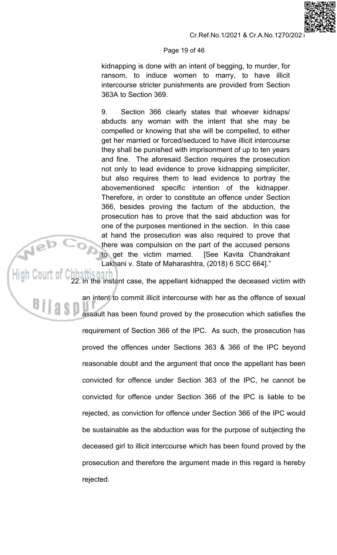# Page 19 of 46

kidnapping is done with an intent of begging, to murder, for ransom, to induce women to marry, to have illicit intercourse stricter punishments are provided from Section 363A to Section 369.

9. Section 366 clearly states that whoever kidnaps/ abducts any woman with the intent that she may be compelled or knowing that she will be compelled, to either get her married or forced/seduced to have illicit intercourse they shall be punished with imprisonment of up to ten years and fine. The aforesaid Section requires the prosecution not only to lead evidence to prove kidnapping simpliciter, but also requires them to lead evidence to portray the abovementioned specific intention of the kidnapper. Therefore, in order to constitute an offence under Section 366, besides proving the factum of the abduction, the prosecution has to prove that the said abduction was for one of the purposes mentioned in the section. In this case at hand the prosecution was also required to prove that there was compulsion on the part of the accused persons to get the victim married. [See Kavita Chandrakant Lakhani v. State of Maharashtra, (2018) 6 SCC 664]."

22. In the instant case, the appellant kidnapped the deceased victim with an intent to commit illicit intercourse with her as the offence of sexual assault has been found proved by the prosecution which satisfies the requirement of Section 366 of the IPC. As such, the prosecution has proved the offences under Sections 363 & 366 of the IPC beyond reasonable doubt and the argument that once the appellant has been convicted for offence under Section 363 of the IPC, he cannot be convicted for offence under Section 366 of the IPC is liable to be rejected, as conviction for offence under Section 366 of the IPC would be sustainable as the abduction was for the purpose of subjecting the deceased girl to illicit intercourse which has been found proved by the prosecution and therefore the argument made in this regard is hereby rejected.

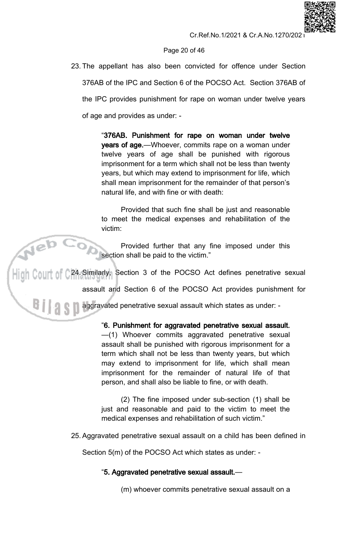# Page 20 of 46

23. The appellant has also been convicted for offence under Section 376AB of the IPC and Section 6 of the POCSO Act. Section 376AB of the IPC provides punishment for rape on woman under twelve years of age and provides as under: -

> "376AB. Punishment for rape on woman under twelve years of age.-Whoever, commits rape on a woman under twelve years of age shall be punished with rigorous imprisonment for a term which shall not be less than twenty years, but which may extend to imprisonment for life, which shall mean imprisonment for the remainder of that person's natural life, and with fine or with death:

> Provided that such fine shall be just and reasonable to meet the medical expenses and rehabilitation of the victim:

> Provided further that any fine imposed under this section shall be paid to the victim."

.<br>Hi gh C0UIT of C24 Similarly, Section 3 of the POCSO Act defines penetrative sexual

assault and Section 6 of the POCSO Act provides punishment for

aggravated penetrative sexual assault which states as under: -

"6. Punishment for aggravated penetrative sexual assault. -(1) Whoever commits aggravated penetrative sexual assault shall be punished with rigorous imprisonment for a term which shall not be less than twenty years, but which may extend to imprisonment for life, which shall mean imprisonment for the remainder of natural life of that person, and shall also be liable to fine, or with death.

(2) The fine imposed under sub-section (1) shall be just and reasonable and paid to the victim to meet the medical expenses and rehabilitation of such victim."

25. Aggravated penetrative sexual assault on a child has been defined in

Section 5(m) of the POCSO Act which states as under: -

# "5. Aggravated penetrative sexual assault.-

(m) whoever commits penetrative sexual assault on a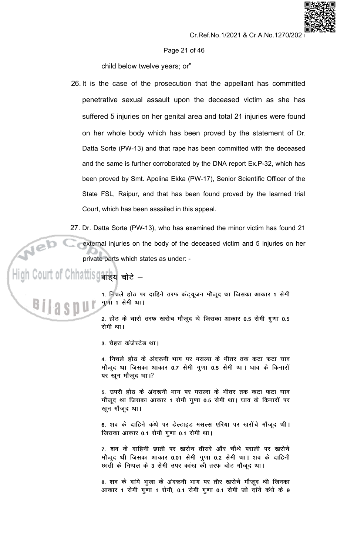#### Page 21 of 46

child below twelve years; or"

- 26. It is the case of the prosecution that the appellant has committed penetrative sexual assault upon the deceased victim as she has suffered 5 injuries on her genital area and total 21 injuries were found on her whole body which has been proved by the statement of Dr. Datta Sorte (PW-13) and that rape has been committed with the deceased and the same is further corroborated by the DNA report Ex.P-32, which has been proved by Smt. Apolina Ekka (PW-17), Senior Scientific Officer of the State FSL, Raipur, and that has been found proved by the learned trial Court, which has been assailed in this appeal.
- 27. Dr. Datta Sorte (PW-13), who has examined the minor victim has found 21

external injuries on the body of the deceased victim and 5 injuries on her private parts which states as under: -

# High Court of Chhattisgaria are  $-$



Web ?

1. निचले होठ पर दाहिने तरफ कंट्यूजन मौजूद था जिसका आकार 1 सेमी गुणा 1 सेमी था।

2. होठ के चारों तरफ खरोच मौजूद थे जिसका आकार 0.5 सेमी गुणा 0.5 सेमी था।

3. चेहरा कंजेस्टेड था।

4. निचले होठ के अंदरूनी भाग पर मसल्स के भीतर तक कटा फटा घाव मौजूद था जिसका आकार 0.7 सेमी गुणा 0.5 सेमी था। घाव के किनारों पर खून मौजूद था।?

5. उपरी होठ के अंदरूनी भाग पर मसल्स के भीतर तक कटा फटा घाव मौजूद था जिसका आकार 1 सेमी गुणा 0.5 सेमी था। घाव के किनारों पर खुन मौजूद था।

6. शव के दाहिने कंधे पर डेल्टाइड मसल्स एरिया पर खरोंचे मौजूद थी। जिसका आकार 0.1 सेमी गुणा 0.1 सेमी था।

7. शव के दाहिनी छाती पर खरोच तीसरे और चौथे पसली पर खरोचे मौजूद थी जिसका आकार 0.01 सेमी गुणा 0.2 सेमी था। शव के दाहिनी छाती के निप्पल के 3 सेमी उपर कांख की तरफ चोट मौजूद था।

8. शव के दांये भूजा के अंदरूनी भाग पर तीर खरोचे मौजूद थी जिनका आकार 1 सेमी गुणा 1 सेमी, 0.1 सेमी गुणा 0.1 सेमी जो दांये कंधे के 9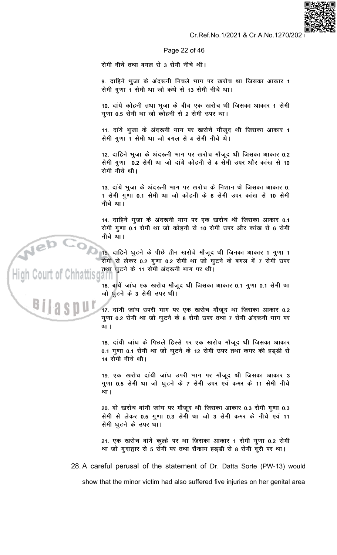

Page 22 of 46

सेमी नीचे तथा बगल से 3 सेमी नीचे थी।

9. दाहिने भूजा के अंदरूनी निचले भाग पर खरोच था जिसका आकार 1 सेमी गुणा 1 सेमी था जो कंधे से 13 सेमी नीचे था।

10. दांये कोहनी तथा भुजा के बीच एक खरोच थी जिसका आकार 1 सेमी गुणा 0.5 सेमी था जो कोहनी से 2 सेमी उपर था।

11. दांये भुजा के अंदरूनी भाग पर खरोचे मौजूद थी जिसका आकार 1 सेमी गुणा 1 सेमी था जो बगल से 4 सेमी नीचे थे।

12. दाहिने भूजा के अंदरूनी भाग पर खरोच मौजूद थी जिसका आकार 0.2 सेमी गुणा 0.2 सेमी था जो दांये कोहनी से 4 सेमी उपर और कांख से 10 सेमी नीचे थी।

13. दांये भुजा के अंदरूनी भाग पर खरोच के निशान थे जिसका आकार 0. 1 सेमी गुणा 0.1 सेमी था जो कोहनी के 6 सेमी उपर कांख से 10 सेमी नीचे था।

14. दाहिने भूजा के अंदरूनी भाग पर एक खरोच थी जिसका आकार 0.1 सेमी गुणा 0.1 सेमी था जो कोहनी से 10 सेमी उपर और कांख से 6 सेमी नीचे था।

15. दाहिने घूटने के पीछे तीन खरोचे मौजूद थी जिनका आकार 1 गुणा 1 सेमी से लेकर 0.2 गुणा 0.2 सेमी था जो घुटने के बगल में 7 सेमी उपर तथा घुटने के 11 सेमी अंदरूनी भाग पर थी।

16. बायें जांघ एक खरोच मौजूद थी जिसका आकार 0.1 गुणा 0.1 सेमी था जो घुटने के 3 सेमी उपर थी।

17. दांयी जांघ उपरी भाग पर एक खरोच मौजूद था जिसका आकार 0.2 गुणा 0.2 सेमी था जो घुटने के 8 सेमी उपर तथा 7 सेमी अंदरूनी भाग पर था।

18. दांयी जांघ के पिछले हिस्से पर एक खरोच मौजूद थी जिसका आकार 0.1 गुणा 0.1 सेमी था जो घुटने के 12 सेमी उपर तथा कमर की हड़डी से 14 सेमी नीचे थी।

19. एक खरोच दांयी जांघ उपरी भाग पर मौजूद थी जिसका आकार 3 गूणा 0.5 सेमी था जो घूटने के 7 सेमी उपर एवं कमर के 11 सेमी नीचे था।

20. दो खरोच बांयी जांघ पर मौजूद थी जिसका आकार 0.3 सेमी गुणा 0.3 सेमी से लेकर 0.5 गुणा 0.3 सेमी था जो 3 सेमी कमर के नीचे एवं 11 सेमी घुटने के उपर था।

21. एक खरोच बांये कुल्हे पर था जिसका आकार 1 सेमी गुणा 0.2 सेमी था जो गुदाद्वार से 5 सेमी पर तथा सैकाम हड़डी से 8 सेमी दूरी पर था।

28. A careful perusal of the statement of Dr. Datta Sorte (PW-13) would show that the minor victim had also suffered five injuries on her genital area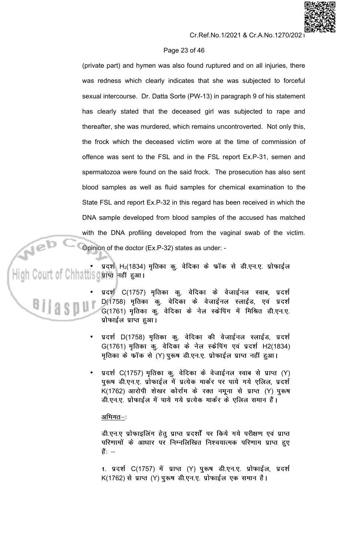# Page 23 of 46

(private part) and hymen was also found ruptured and on all injuries, there was redness which clearly indicates that she was subjected to forceful sexual intercourse. Dr. Datta Sorte (PW-13) in paragraph 9 of his statement has clearly stated that the deceased girl was subjected to rape and thereafter, she was murdered, which remains uncontroverted. Not only this, the frock which the deceased victim wore at the time of commission of offence was sent to the FSL and in the FSL report Ex.P-31, semen and spermatozoa were found on the said frock. The prosecution has also sent blood samples as well as fluid samples for chemical examination to the State FSL and report Ex.P-32 in this regard has been received in which the DNA sample developed from blood samples of the accused has matched with the DNA profiling developed from the vaginal swab of the victim. Opinion of the doctor (Ex.P-32) states as under: -

प्रदर्श H2(1834) मृतिका कु. वेदिका के फॉक से डी.एन.ए. प्रोफाईल Court of Chhattisgare नहीं हुआ।



- प्रदर्श C(1757) मृतिका कु. वेदिका के वेजाईनल स्वाब, प्रदर्श D(1758) मृतिका कु. वेदिका के वेजाईनल स्लाईड, एवं प्रदर्श G(1761) मृतिका कु. वेदिका के नेल स्क्रेपिंग में मिश्रित डी.एन.ए. प्रोफाईल प्राप्त हुआ।
- प्रदर्श D(1758) मृतिका कु. वेदिका की वेजाईनल स्लाईड, प्रदर्श G(1761) मृतिका कु. वेदिका के नेल स्केपिंग एवं प्रदर्श H2(1834) मृतिका के फॉक से (Y) पुरूष डी.एन.ए. प्रोफाईल प्राप्त नहीं हुआ।
- प्रदर्श C(1757) मृतिका कु. वेदिका के वेजाईनल स्वाब से प्राप्त (Y) पुरूष डी.एन.ए. प्रोफाईल में प्रत्येक मार्कर पर पाये गये एलिल, प्रदर्श K(1762) आरोपी शेखर कोर्राम के रक्त नमूना से प्राप्त (Y) पुरूष डी.एन.ए. प्रोफाईल में पाये गये प्रत्येक मार्कर के एलिल समान हैं।

# <u>अभिमत–</u>:

डी.एन.ए प्रोफाइलिंग हेतु प्राप्त प्रदर्शों पर किये गये परीक्षण एवं प्राप्त परिणामों के आधार पर निम्नलिखित निश्चयात्मक परिणाम प्राप्त हुए हैं: —

1. प्रदर्श C(1757) में प्राप्त (Y) पुरूष डी.एन.ए. प्रोफाईल, प्रदर्श K(1762) से प्राप्त (Y) पुरूष डी.एन.ए. प्रोफाईल एक समान है।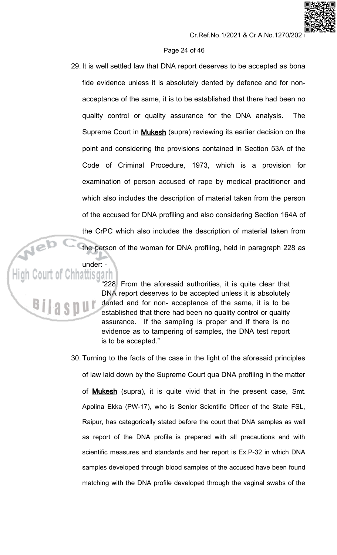# Page 24 of 46

- 29. It is well settled law that DNA report deserves to be accepted as bona fide evidence unless it is absolutely dented by defence and for nonacceptance of the same, it is to be established that there had been no quality control or quality assurance for the DNA analysis. **The** Supreme Court in **Mukesh** (supra) reviewing its earlier decision on the point and considering the provisions contained in Section 53A of the Code of Criminal Procedure, 1973, which is a provision for examination of person accused of rape by medical practitioner and which also includes the description of material taken from the person of the accused for DNA profiling and also considering Section 164A of the CrPC which also includes the description of material taken from the person of the woman for DNA profiling, held in paragraph 228 as
- under: **High Court of Chhattisgarh**

"228. From the aforesaid authorities, it is quite clear that DNA report deserves to be accepted unless it is absolutely dented and for non- acceptance of the same, it is to be established that there had been no quality control or quality assurance. If the sampling is proper and if there is no evidence as to tampering of samples, the DNA test report is to be accepted."

30. Turning to the facts of the case in the light of the aforesaid principles of law laid down by the Supreme Court qua DNA profiling in the matter of **Mukesh** (supra), it is quite vivid that in the present case, Smt. Apolina Ekka (PW-17), who is Senior Scientific Officer of the State FSL, Raipur, has categorically stated before the court that DNA samples as well as report of the DNA profile is prepared with all precautions and with scientific measures and standards and her report is Ex.P-32 in which DNA samples developed through blood samples of the accused have been found matching with the DNA profile developed through the vaginal swabs of the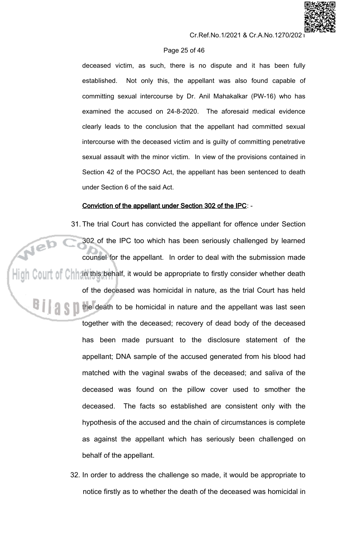

# Page 25 of 46

deceased victim, as such, there is no dispute and it has been fully Not only this, the appellant was also found capable of established. committing sexual intercourse by Dr. Anil Mahakalkar (PW-16) who has examined the accused on 24-8-2020. The aforesaid medical evidence clearly leads to the conclusion that the appellant had committed sexual intercourse with the deceased victim and is guilty of committing penetrative sexual assault with the minor victim. In view of the provisions contained in Section 42 of the POCSO Act, the appellant has been sentenced to death under Section 6 of the said Act.

# Conviction of the appellant under Section 302 of the IPC: -

31. The trial Court has convicted the appellant for offence under Section Neb 302 of the IPC too which has been seriously challenged by learned counsel for the appellant. In order to deal with the submission made  $\frac{1}{2}$  Court of Chinzin this behalf, it would be appropriate to firstly consider whether death of the deceased was homicidal in nature, as the trial Court has held the death to be homicidal in nature and the appellant was last seen together with the deceased; recovery of dead body of the deceased has been made pursuant to the disclosure statement of the appellant; DNA sample of the accused generated from his blood had matched with the vaginal swabs of the deceased; and saliva of the deceased was found on the pillow cover used to smother the deceased. The facts so established are consistent only with the hypothesis of the accused and the chain of circumstances is complete as against the appellant which has seriously been challenged on behalf of the appellant.

> 32. In order to address the challenge so made, it would be appropriate to notice firstly as to whether the death of the deceased was homicidal in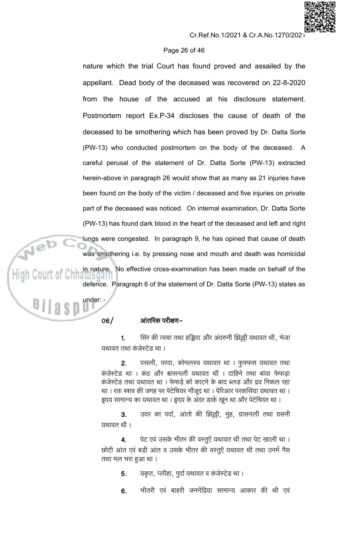# Page 26 of 46

nature which the trial Court has found proved and assailed by the appellant. Dead body of the deceased was recovered on 22-8-2020 from the house of the accused at his disclosure statement. Postmortem report Ex.P-34 discloses the cause of death of the deceased to be smothering which has been proved by Dr. Datta Sorte (PW-13) who conducted postmortem on the body of the deceased.  $\overline{A}$ careful perusal of the statement of Dr. Datta Sorte (PW-13) extracted herein-above in paragraph 26 would show that as many as 21 injuries have been found on the body of the victim / deceased and five injuries on private part of the deceased was noticed. On internal examination, Dr. Datta Sorte (PW-13) has found dark blood in the heart of the deceased and left and right lungs were congested. In paragraph 9, he has opined that cause of death was smothering i.e. by pressing nose and mouth and death was homicidal No effective cross-examination has been made on behalf of the in nature. defence. Paragraph 6 of the statement of Dr. Datta Sorte (PW-13) states as

# आंतरिक परीक्षण–

under: -

 $06/$ 

सिर की त्वचा तथा हड्डिया और अंदरुनी झिल्ली यथावत थी, भेजा  $1.$ यथावत तथा कंजेस्टेड था ।

पसली, परदा, कोमलस्व यथावत था । फुफ्फस यथावत तथा  $2.$ कंजेस्टेड था । कंठ और श्वासनली यथावत थी । दाहिने तथा बाया फेफडा कंजेस्टेड तथा यथावत था । फेफड़े को काटने के बाद ब्लड और द्रव निकल रहा था। रक्त स्त्राव की जगह पर पेटेचियर मौजूद था। पेरिआर परकसिया यथावत था। हृदय सामान्य का यथावत था। हृदय के अंदर डार्क खून था और पेटेचियर था।

उदर का पर्दा, आंतो की झिल्ली, मुंह, ग्रासनली तथा ग्रसनी 3. यथावत थी ।

पेट एवं उसके भीतर की वस्तूएँ यथावत थी तथा पेट खाली था।  $\overline{4}$ . छोटी आंत एवं बड़ी आंत व उसके भीतर की वस्तुएँ यथावत थी तथा उनमें गैस तथा मल भरा हुआ था।

> यकृत, प्लीहा, गुर्दा यथावत व कंजेस्टेड था । 5.

भीतरी एवं बाहरी जननेंद्रिया सामान्य आकार की थी एवं 6.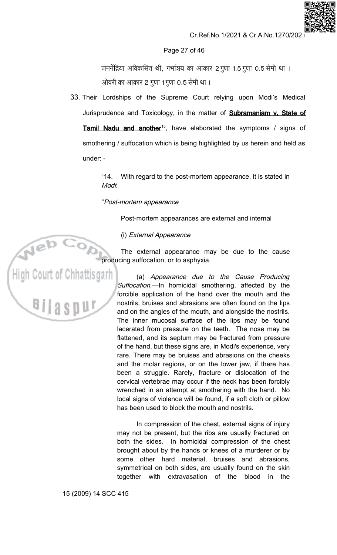

### Page 27 of 46

जननेंद्रिया अविकसित थी, गर्भाशय का आकार 2 गुणा 1.5 गुणा 0.5 सेमी था । ओवरी का आकार 2 गुणा 1 गुणा 0.5 सेमी था।

33. Their Lordships of the Supreme Court relying upon Modi's Medical Jurisprudence and Toxicology, in the matter of **Subramaniam v. State of** Tamil Nadu and another<sup>15</sup>, have elaborated the symptoms / signs of smothering / suffocation which is being highlighted by us herein and held as under: -

> $"14.$ With regard to the post-mortem appearance, it is stated in **Modi:**

# "Post-mortem appearance

Post-mortem appearances are external and internal

(i) External Appearance

The external appearance may be due to the cause producing suffocation, or to asphyxia. High Court of Chhattisgarh

(a) Appearance due to the Cause Producing Suffocation.-In homicidal smothering, affected by the forcible application of the hand over the mouth and the nostrils, bruises and abrasions are often found on the lips and on the angles of the mouth, and alongside the nostrils. The inner mucosal surface of the lips may be found lacerated from pressure on the teeth. The nose may be flattened, and its septum may be fractured from pressure of the hand, but these signs are, in Modi's experience, very rare. There may be bruises and abrasions on the cheeks and the molar regions, or on the lower jaw, if there has been a struggle. Rarely, fracture or dislocation of the cervical vertebrae may occur if the neck has been forcibly wrenched in an attempt at smothering with the hand. No local signs of violence will be found, if a soft cloth or pillow has been used to block the mouth and nostrils.

In compression of the chest, external signs of injury may not be present, but the ribs are usually fractured on both the sides. In homicidal compression of the chest brought about by the hands or knees of a murderer or by some other hard material, bruises and abrasions, symmetrical on both sides, are usually found on the skin together with extravasation of the blood in the

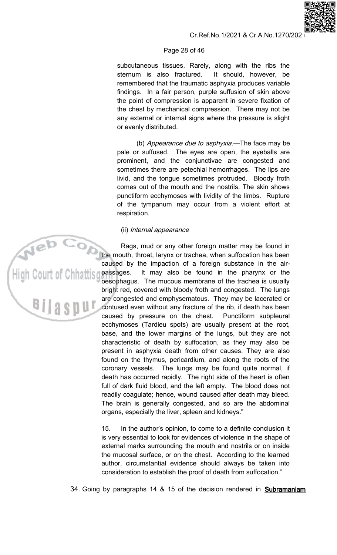#### Page 28 of 46

subcutaneous tissues. Rarely, along with the ribs the sternum is also fractured. It should, however, be remembered that the traumatic asphyxia produces variable findings. In a fair person, purple suffusion of skin above the point of compression is apparent in severe fixation of the chest by mechanical compression. There may not be any external or internal signs where the pressure is slight or evenly distributed.

(b) Appearance due to asphyxia.-The face may be pale or suffused. The eyes are open, the eyeballs are prominent, and the conjunctivae are congested and sometimes there are petechial hemorrhages. The lips are livid, and the tongue sometimes protruded. Bloody froth comes out of the mouth and the nostrils. The skin shows punctiform ecchymoses with lividity of the limbs. Rupture of the tympanum may occur from a violent effort at respiration.

#### (ii) Internal appearance

Rags, mud or any other foreign matter may be found in the mouth, throat, larynx or trachea, when suffocation has been caused by the impaction of a foreign substance in the airpassages. It may also be found in the pharynx or the oesophagus. The mucous membrane of the trachea is usually bright red, covered with bloody froth and congested. The lungs are congested and emphysematous. They may be lacerated or contused even without any fracture of the rib, if death has been caused by pressure on the chest. Punctiform subpleural ecchymoses (Tardieu spots) are usually present at the root, base, and the lower margins of the lungs, but they are not characteristic of death by suffocation, as they may also be present in asphyxia death from other causes. They are also found on the thymus, pericardium, and along the roots of the coronary vessels. The lungs may be found quite normal, if death has occurred rapidly. The right side of the heart is often full of dark fluid blood, and the left empty. The blood does not readily coagulate; hence, wound caused after death may bleed. The brain is generally congested, and so are the abdominal organs, especially the liver, spleen and kidneys."

 $15.$ In the author's opinion, to come to a definite conclusion it is very essential to look for evidences of violence in the shape of external marks surrounding the mouth and nostrils or on inside the mucosal surface, or on the chest. According to the learned author, circumstantial evidence should always be taken into consideration to establish the proof of death from suffocation."

34. Going by paragraphs 14 & 15 of the decision rendered in **Subramaniam**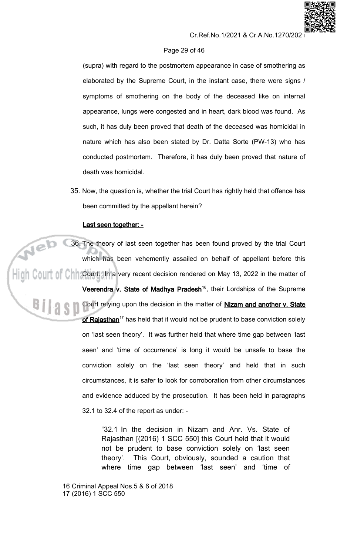

### Page 29 of 46

(supra) with regard to the postmortem appearance in case of smothering as elaborated by the Supreme Court, in the instant case, there were signs / symptoms of smothering on the body of the deceased like on internal appearance, lungs were congested and in heart, dark blood was found. As such, it has duly been proved that death of the deceased was homicidal in nature which has also been stated by Dr. Datta Sorte (PW-13) who has conducted postmortem. Therefore, it has duly been proved that nature of death was homicidal.

35. Now, the question is, whether the trial Court has rightly held that offence has been committed by the appellant herein?

#### Last seen together: -

 $ie^{\overline{b} \overline{c}}$ 36. The theory of last seen together has been found proved by the trial Court which has been vehemently assailed on behalf of appellant before this COUIT OF CHI Court. In a very recent decision rendered on May 13, 2022 in the matter of

> Veerendra v. State of Madhya Pradesh<sup>16</sup>, their Lordships of the Supreme Court relying upon the decision in the matter of Nizam and another v. State of Rajasthan<sup>17</sup> has held that it would not be prudent to base conviction solely on 'last seen theory'. It was further held that where time gap between 'last seen' and 'time of occurrence' is long it would be unsafe to base the conviction solely on the 'last seen theory' and held that in such circumstances, it is safer to look for corroboration from other circumstances and evidence adduced by the prosecution. It has been held in paragraphs 32.1 to 32.4 of the report as under: -

"32.1 In the decision in Nizam and Anr. Vs. State of Rajasthan [(2016) 1 SCC 550] this Court held that it would not be prudent to base conviction solely on 'last seen This Court, obviously, sounded a caution that theory'. where time gap between 'last seen' and 'time of

<sup>16</sup> Criminal Appeal Nos.5 & 6 of 2018 17 (2016) 1 SCC 550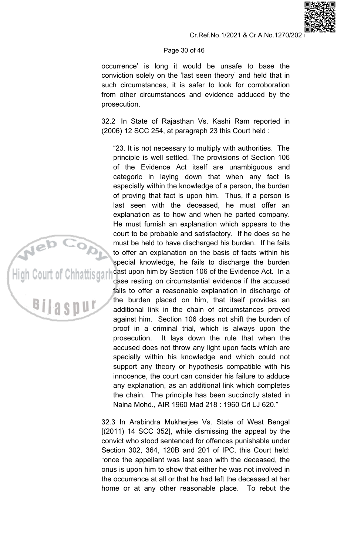# Page 30 of 46

occurrence' is long it would be unsafe to base the conviction solely on the 'last seen theory' and held that in such circumstances, it is safer to look for corroboration from other circumstances and evidence adduced by the prosecution.

32.2 In State of Rajasthan Vs. Kashi Ram reported in (2006) 12 SCC 254, at paragraph 23 this Court held :

"23. It is not necessary to multiply with authorities. The principle is well settled. The provisions of Section 106 of the Evidence Act itself are unambiguous and categoric in laying down that when any fact is especially within the knowledge of a person, the burden of proving that fact is upon him. Thus, if a person is last seen with the deceased, he must offer an explanation as to how and when he parted company. He must furnish an explanation which appears to the court to be probable and satisfactory. If he does so he must be held to have discharged his burden. If he fails to offer an explanation on the basis of facts within his special knowledge, he fails to discharge the burden cast upon him by Section 106 of the Evidence Act. In a case resting on circumstantial evidence if the accused fails to offer a reasonable explanation in discharge of the burden placed on him, that itself provides an additional link in the chain of circumstances proved against him. Section 106 does not shift the burden of proof in a criminal trial, which is always upon the It lays down the rule that when the prosecution. accused does not throw any light upon facts which are specially within his knowledge and which could not support any theory or hypothesis compatible with his innocence, the court can consider his failure to adduce any explanation, as an additional link which completes the chain. The principle has been succinctly stated in Naina Mohd., AIR 1960 Mad 218: 1960 Crl LJ 620."

High Court of Chhattis dar

<sup>Bilasp</sup>

32.3 In Arabindra Mukherjee Vs. State of West Bengal  $[(2011)$  14 SCC 352], while dismissing the appeal by the convict who stood sentenced for offences punishable under Section 302, 364, 120B and 201 of IPC, this Court held: "once the appellant was last seen with the deceased, the onus is upon him to show that either he was not involved in the occurrence at all or that he had left the deceased at her home or at any other reasonable place. To rebut the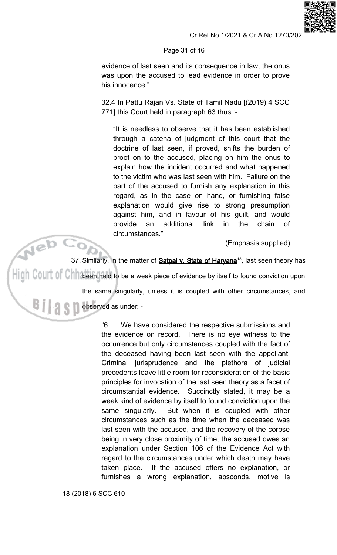

Page 31 of 46

evidence of last seen and its consequence in law, the onus was upon the accused to lead evidence in order to prove his innocence."

32.4 In Pattu Rajan Vs. State of Tamil Nadu [(2019) 4 SCC 771] this Court held in paragraph 63 thus :-

"It is needless to observe that it has been established through a catena of judgment of this court that the doctrine of last seen, if proved, shifts the burden of proof on to the accused, placing on him the onus to explain how the incident occurred and what happened to the victim who was last seen with him. Failure on the part of the accused to furnish any explanation in this regard, as in the case on hand, or furnishing false explanation would give rise to strong presumption against him, and in favour of his guilt, and would additional the provide an link in chain  $\circ$ f circumstances."

(Emphasis supplied)

jeb 37. Similarly, in the matter of **Satpal v. State of Haryana**<sup>18</sup>, last seen theory has  $\mathbb{C}$  0  $\parallel$  0  $\parallel$  0  $\parallel$  been held to be a weak piece of evidence by itself to found conviction upon the same singularly, unless it is coupled with other circumstances, and observed as under: a s n

> "6. We have considered the respective submissions and the evidence on record. There is no eye witness to the occurrence but only circumstances coupled with the fact of the deceased having been last seen with the appellant. Criminal jurisprudence and the plethora of judicial precedents leave little room for reconsideration of the basic principles for invocation of the last seen theory as a facet of circumstantial evidence. Succinctly stated, it may be a weak kind of evidence by itself to found conviction upon the But when it is coupled with other same singularly. circumstances such as the time when the deceased was last seen with the accused, and the recovery of the corpse being in very close proximity of time, the accused owes an explanation under Section 106 of the Evidence Act with regard to the circumstances under which death may have If the accused offers no explanation, or taken place. furnishes a wrong explanation, absconds, motive is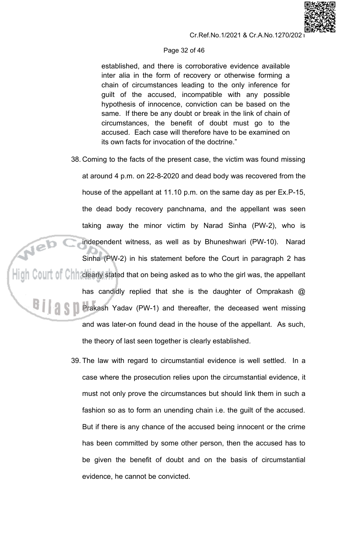#### Page 32 of 46

established, and there is corroborative evidence available inter alia in the form of recovery or otherwise forming a chain of circumstances leading to the only inference for guilt of the accused, incompatible with any possible hypothesis of innocence, conviction can be based on the same. If there be any doubt or break in the link of chain of circumstances, the benefit of doubt must go to the accused. Each case will therefore have to be examined on its own facts for invocation of the doctrine."

- 38. Coming to the facts of the present case, the victim was found missing at around 4 p.m. on 22-8-2020 and dead body was recovered from the house of the appellant at 11.10 p.m. on the same day as per Ex.P-15, the dead body recovery panchnama, and the appellant was seen taking away the minor victim by Narad Sinha (PW-2), who is Web ( independent witness, as well as by Bhuneshwari (PW-10). Narad Sinha (PW-2) in his statement before the Court in paragraph 2 has  $\|\|$ in Court of Chriclearly stated that on being asked as to who the girl was, the appellant has candidly replied that she is the daughter of Omprakash @ **REFERENCE Prakash Yadav (PW-1) and thereafter, the deceased went missing** and was later-on found dead in the house of the appellant. As such, the theory of last seen together is clearly established.
	- 39. The law with regard to circumstantial evidence is well settled. In a case where the prosecution relies upon the circumstantial evidence, it must not only prove the circumstances but should link them in such a fashion so as to form an unending chain i.e. the guilt of the accused. But if there is any chance of the accused being innocent or the crime has been committed by some other person, then the accused has to be given the benefit of doubt and on the basis of circumstantial evidence, he cannot be convicted.

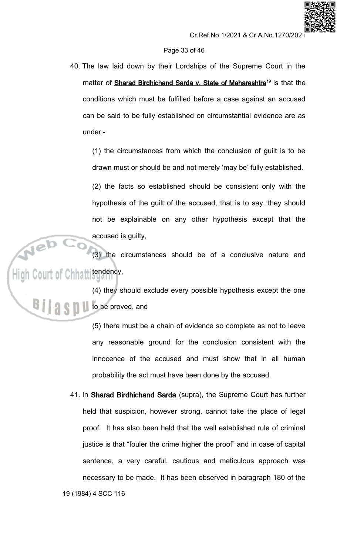# Page 33 of 46

40. The law laid down by their Lordships of the Supreme Court in the matter of Sharad Birdhichand Sarda v. State of Maharashtra<sup>19</sup> is that the conditions which must be fulfilled before a case against an accused can be said to be fully established on circumstantial evidence are as under:-

(1) the circumstances from which the conclusion of guilt is to be drawn must or should be and not merely 'may be' fully established.

(2) the facts so established should be consistent only with the hypothesis of the guilt of the accused, that is to say, they should not be explainable on any other hypothesis except that the accused is guilty,

High Court of Chhamsterdam  $(3)$  the circumstances should be of a conclusive nature and

> (4) they should exclude every possible hypothesis except the one **A Set Life be proved, and**

> > (5) there must be a chain of evidence so complete as not to leave any reasonable ground for the conclusion consistent with the innocence of the accused and must show that in all human probability the act must have been done by the accused.

41. In Sharad Birdhichand Sarda (supra), the Supreme Court has further held that suspicion, however strong, cannot take the place of legal proof. It has also been held that the well established rule of criminal justice is that "fouler the crime higher the proof" and in case of capital sentence, a very careful, cautious and meticulous approach was necessary to be made. It has been observed in paragraph 180 of the 19 (1984) 4 SCC 116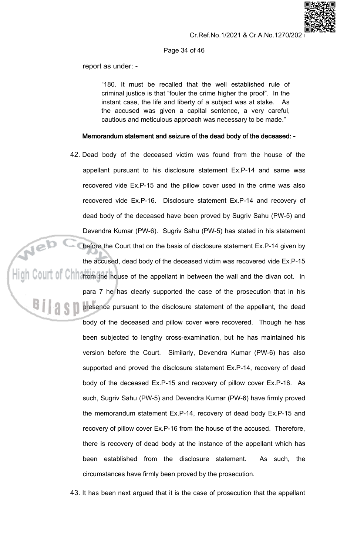

#### Page 34 of 46

report as under: -

"180. It must be recalled that the well established rule of criminal justice is that "fouler the crime higher the proof". In the instant case, the life and liberty of a subject was at stake. As the accused was given a capital sentence, a very careful, cautious and meticulous approach was necessary to be made."

# Memorandum statement and seizure of the dead body of the deceased: -

42. Dead body of the deceased victim was found from the house of the appellant pursuant to his disclosure statement Ex.P-14 and same was recovered vide Ex.P-15 and the pillow cover used in the crime was also recovered vide Ex.P-16. Disclosure statement Ex.P-14 and recovery of dead body of the deceased have been proved by Sugriv Sahu (PW-5) and Devendra Kumar (PW-6). Sugriv Sahu (PW-5) has stated in his statement **Neb C** before the Court that on the basis of disclosure statement Ex.P-14 given by the accused, dead body of the deceased victim was recovered vide Ex.P-15  $\frac{1}{\|u\|}$  COUIT Of Chiliation the house of the appellant in between the wall and the divan cot. In para 7 he has clearly supported the case of the prosecution that in his 19 S.D presence pursuant to the disclosure statement of the appellant, the dead body of the deceased and pillow cover were recovered. Though he has been subjected to lengthy cross-examination, but he has maintained his version before the Court. Similarly, Devendra Kumar (PW-6) has also supported and proved the disclosure statement Ex.P-14, recovery of dead body of the deceased Ex.P-15 and recovery of pillow cover Ex.P-16. As such, Sugriv Sahu (PW-5) and Devendra Kumar (PW-6) have firmly proved the memorandum statement Ex.P-14, recovery of dead body Ex.P-15 and recovery of pillow cover Ex.P-16 from the house of the accused. Therefore, there is recovery of dead body at the instance of the appellant which has been established from the disclosure statement. As such, the circumstances have firmly been proved by the prosecution.

43. It has been next argued that it is the case of prosecution that the appellant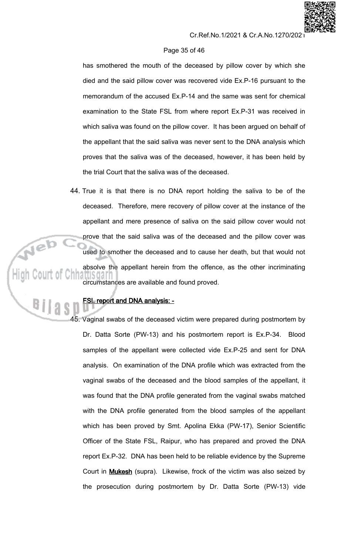# Page 35 of 46

has smothered the mouth of the deceased by pillow cover by which she died and the said pillow cover was recovered vide Ex.P-16 pursuant to the memorandum of the accused Ex.P-14 and the same was sent for chemical examination to the State FSL from where report Ex.P-31 was received in which saliva was found on the pillow cover. It has been argued on behalf of the appellant that the said saliva was never sent to the DNA analysis which proves that the saliva was of the deceased, however, it has been held by the trial Court that the saliva was of the deceased.

44. True it is that there is no DNA report holding the saliva to be of the deceased. Therefore, mere recovery of pillow cover at the instance of the appellant and mere presence of saliva on the said pillow cover would not prove that the said saliva was of the deceased and the pillow cover was used to smother the deceased and to cause her death, but that would not absolve the appellant herein from the offence, as the other incriminating circumstances are available and found proved.

# **FSL report and DNA analysis: -**

45. Vaginal swabs of the deceased victim were prepared during postmortem by Dr. Datta Sorte (PW-13) and his postmortem report is Ex.P-34. Blood samples of the appellant were collected vide Ex.P-25 and sent for DNA analysis. On examination of the DNA profile which was extracted from the vaginal swabs of the deceased and the blood samples of the appellant, it was found that the DNA profile generated from the vaginal swabs matched with the DNA profile generated from the blood samples of the appellant which has been proved by Smt. Apolina Ekka (PW-17), Senior Scientific Officer of the State FSL, Raipur, who has prepared and proved the DNA report Ex.P-32. DNA has been held to be reliable evidence by the Supreme Court in **Mukesh** (supra). Likewise, frock of the victim was also seized by the prosecution during postmortem by Dr. Datta Sorte (PW-13) vide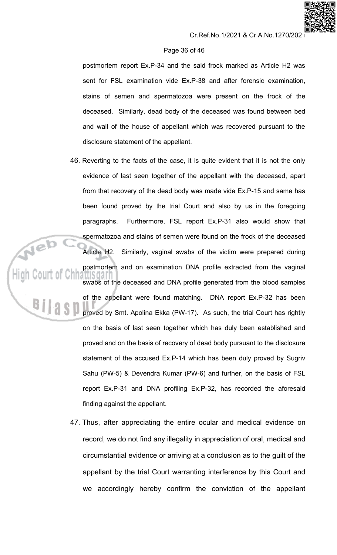# Page 36 of 46

postmortem report Ex.P-34 and the said frock marked as Article H2 was sent for FSL examination vide Ex.P-38 and after forensic examination, stains of semen and spermatozoa were present on the frock of the deceased. Similarly, dead body of the deceased was found between bed and wall of the house of appellant which was recovered pursuant to the disclosure statement of the appellant.

- 46. Reverting to the facts of the case, it is quite evident that it is not the only evidence of last seen together of the appellant with the deceased, apart from that recovery of the dead body was made vide Ex.P-15 and same has been found proved by the trial Court and also by us in the foregoing Furthermore, FSL report Ex.P-31 also would show that paragraphs. spermatozoa and stains of semen were found on the frock of the deceased Article H2. Similarly, vaginal swabs of the victim were prepared during postmortem and on examination DNA profile extracted from the vaginal swabs of the deceased and DNA profile generated from the blood samples of the appellant were found matching. DNA report Ex.P-32 has been proved by Smt. Apolina Ekka (PW-17). As such, the trial Court has rightly on the basis of last seen together which has duly been established and proved and on the basis of recovery of dead body pursuant to the disclosure statement of the accused Ex.P-14 which has been duly proved by Sugriv Sahu (PW-5) & Devendra Kumar (PW-6) and further, on the basis of FSL report Ex.P-31 and DNA profiling Ex.P-32, has recorded the aforesaid finding against the appellant.
	- 47. Thus, after appreciating the entire ocular and medical evidence on record, we do not find any illegality in appreciation of oral, medical and circumstantial evidence or arriving at a conclusion as to the guilt of the appellant by the trial Court warranting interference by this Court and we accordingly hereby confirm the conviction of the appellant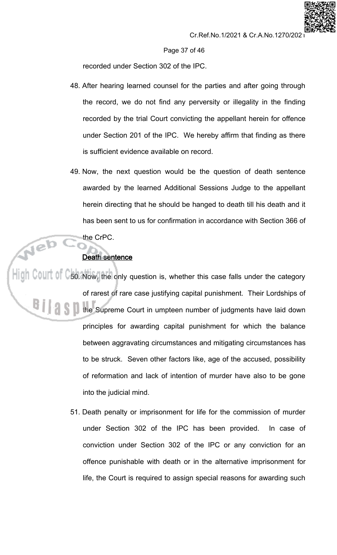Page 37 of 46

recorded under Section 302 of the IPC.

- 48. After hearing learned counsel for the parties and after going through the record, we do not find any perversity or illegality in the finding recorded by the trial Court convicting the appellant herein for offence under Section 201 of the IPC. We hereby affirm that finding as there is sufficient evidence available on record.
- 49. Now, the next question would be the question of death sentence awarded by the learned Additional Sessions Judge to the appellant herein directing that he should be hanged to death till his death and it has been sent to us for confirmation in accordance with Section 366 of the CrPC.

# **Death sentence**

Neb

 $\frac{1}{2}$  COUIT 0  $\degree$  50. Now, the only question is, whether this case falls under the category of rarest of rare case justifying capital punishment. Their Lordships of the Supreme Court in umpteen number of judgments have laid down principles for awarding capital punishment for which the balance between aggravating circumstances and mitigating circumstances has to be struck. Seven other factors like, age of the accused, possibility of reformation and lack of intention of murder have also to be gone into the judicial mind.

> 51. Death penalty or imprisonment for life for the commission of murder under Section 302 of the IPC has been provided. In case of conviction under Section 302 of the IPC or any conviction for an offence punishable with death or in the alternative imprisonment for life, the Court is required to assign special reasons for awarding such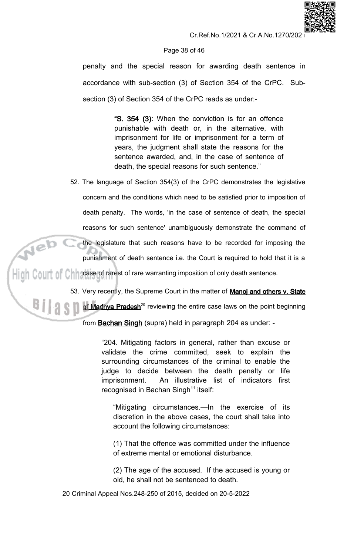

# Page 38 of 46

penalty and the special reason for awarding death sentence in accordance with sub-section (3) of Section 354 of the CrPC. Subsection (3) of Section 354 of the CrPC reads as under:-

> "S. 354 (3): When the conviction is for an offence punishable with death or, in the alternative, with imprisonment for life or imprisonment for a term of years, the judgment shall state the reasons for the sentence awarded, and, in the case of sentence of death, the special reasons for such sentence."

52. The language of Section 354(3) of the CrPC demonstrates the legislative concern and the conditions which need to be satisfied prior to imposition of death penalty. The words, 'in the case of sentence of death, the special reasons for such sentence' unambiguously demonstrate the command of Neb ( the legislature that such reasons have to be recorded for imposing the punishment of death sentence i.e. the Court is required to hold that it is a High Court of Chin case of rarest of rare warranting imposition of only death sentence.

53. Very recently, the Supreme Court in the matter of Manoj and others v. State

of Madhya Pradesh<sup>20</sup> reviewing the entire case laws on the point beginning

from **Bachan Singh** (supra) held in paragraph 204 as under: -

"204. Mitigating factors in general, rather than excuse or validate the crime committed, seek to explain the surrounding circumstances of the criminal to enable the judge to decide between the death penalty or life An illustrative list of indicators first imprisonment. recognised in Bachan Singh<sup>11</sup> itself:

"Mitigating circumstances.—In the exercise of its discretion in the above cases, the court shall take into account the following circumstances:

(1) That the offence was committed under the influence of extreme mental or emotional disturbance.

(2) The age of the accused. If the accused is young or old, he shall not be sentenced to death.

20 Criminal Appeal Nos.248-250 of 2015, decided on 20-5-2022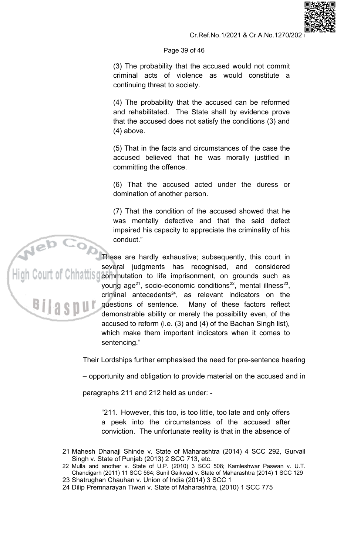# Page 39 of 46

(3) The probability that the accused would not commit criminal acts of violence as would constitute a continuing threat to society.

(4) The probability that the accused can be reformed and rehabilitated. The State shall by evidence prove that the accused does not satisfy the conditions (3) and  $(4)$  above.

(5) That in the facts and circumstances of the case the accused believed that he was morally justified in committing the offence.

(6) That the accused acted under the duress or domination of another person.

(7) That the condition of the accused showed that he was mentally defective and that the said defect impaired his capacity to appreciate the criminality of his conduct."

These are hardly exhaustive; subsequently, this court in several judgments has recognised, and considered Commutation to life imprisonment, on grounds such as young age<sup>21</sup>, socio-economic conditions<sup>22</sup>, mental illness<sup>23</sup>, criminal antecedents $24$ , as relevant indicators on the questions of sentence. Many of these factors reflect demonstrable ability or merely the possibility even, of the accused to reform (i.e. (3) and (4) of the Bachan Singh list). which make them important indicators when it comes to sentencing."

Their Lordships further emphasised the need for pre-sentence hearing

- opportunity and obligation to provide material on the accused and in

paragraphs 211 and 212 held as under: -

"211. However, this too, is too little, too late and only offers a peek into the circumstances of the accused after conviction. The unfortunate reality is that in the absence of

- 21 Mahesh Dhanaji Shinde v. State of Maharashtra (2014) 4 SCC 292, Gurvail Singh v. State of Punjab (2013) 2 SCC 713, etc.<br>22 Mulla and another v. State of U.P. (2010) 3 SCC 508; Kamleshwar Paswan v. U.T.
- Chandigarh (2011) 11 SCC 564; Sunil Gaikwad v. State of Maharashtra (2014) 1 SCC 129
- 23 Shatrughan Chauhan v. Union of India (2014) 3 SCC 1
- 24 Dilip Premnarayan Tiwari v. State of Maharashtra, (2010) 1 SCC 775

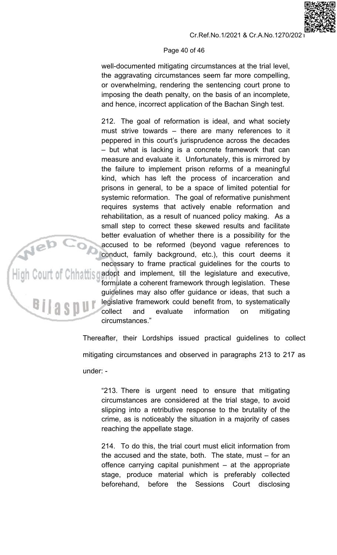# Page 40 of 46

well-documented mitigating circumstances at the trial level, the aggravating circumstances seem far more compelling, or overwhelming, rendering the sentencing court prone to imposing the death penalty, on the basis of an incomplete, and hence, incorrect application of the Bachan Singh test.

212. The goal of reformation is ideal, and what society must strive towards – there are many references to it peppered in this court's jurisprudence across the decades - but what is lacking is a concrete framework that can measure and evaluate it. Unfortunately, this is mirrored by the failure to implement prison reforms of a meaningful kind, which has left the process of incarceration and prisons in general, to be a space of limited potential for systemic reformation. The goal of reformative punishment requires systems that actively enable reformation and rehabilitation, as a result of nuanced policy making. As a small step to correct these skewed results and facilitate better evaluation of whether there is a possibility for the accused to be reformed (beyond vague references to conduct, family background, etc.), this court deems it necessary to frame practical guidelines for the courts to adopt and implement, till the legislature and executive, formulate a coherent framework through legislation. These guidelines may also offer guidance or ideas, that such a legislative framework could benefit from, to systematically collect and evaluate information mitigating on circumstances."

Thereafter, their Lordships issued practical guidelines to collect mitigating circumstances and observed in paragraphs 213 to 217 as under: -

BIIAS

"213. There is urgent need to ensure that mitigating circumstances are considered at the trial stage, to avoid slipping into a retributive response to the brutality of the crime, as is noticeably the situation in a majority of cases reaching the appellate stage.

214. To do this, the trial court must elicit information from the accused and the state, both. The state, must  $-$  for an offence carrying capital punishment  $-$  at the appropriate stage, produce material which is preferably collected beforehand, before the Sessions Court disclosing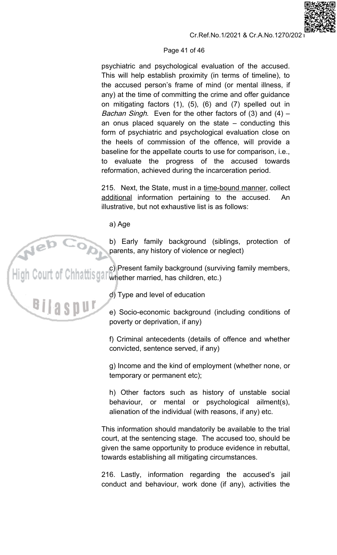# Page 41 of 46

psychiatric and psychological evaluation of the accused. This will help establish proximity (in terms of timeline), to the accused person's frame of mind (or mental illness, if any) at the time of committing the crime and offer guidance on mitigating factors  $(1)$ ,  $(5)$ ,  $(6)$  and  $(7)$  spelled out in *Bachan Singh.* Even for the other factors of (3) and (4)  $$ an onus placed squarely on the state  $-$  conducting this form of psychiatric and psychological evaluation close on the heels of commission of the offence, will provide a baseline for the appellate courts to use for comparison, i.e., to evaluate the progress of the accused towards reformation, achieved during the incarceration period.

215. Next, the State, must in a time-bound manner, collect additional information pertaining to the accused. An illustrative, but not exhaustive list is as follows:

a) Age

b) Early family background (siblings, protection of parents, any history of violence or neglect)

c) Present family background (surviv)<br>High Court of Chhattisga, whether married, has children, etc.) c) Present family background (surviving family members,

d) Type and level of education

e) Socio-economic background (including conditions of poverty or deprivation, if any)

f) Criminal antecedents (details of offence and whether convicted, sentence served, if any)

g) Income and the kind of employment (whether none, or temporary or permanent etc);

h) Other factors such as history of unstable social behaviour, or mental or psychological ailment(s), alienation of the individual (with reasons, if any) etc.

This information should mandatorily be available to the trial court, at the sentencing stage. The accused too, should be given the same opportunity to produce evidence in rebuttal, towards establishing all mitigating circumstances.

216. Lastly, information regarding the accused's jail conduct and behaviour, work done (if any), activities the

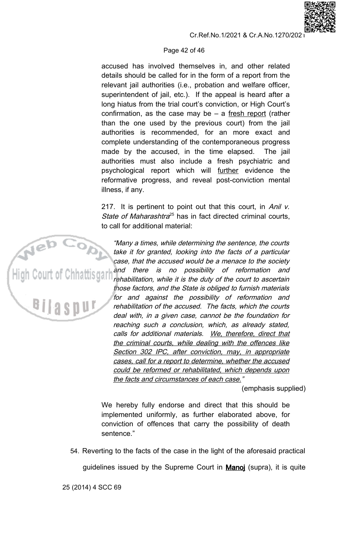# Page 42 of 46

accused has involved themselves in, and other related details should be called for in the form of a report from the relevant jail authorities (i.e., probation and welfare officer, superintendent of jail, etc.). If the appeal is heard after a long hiatus from the trial court's conviction, or High Court's confirmation, as the case may be  $-$  a fresh report (rather than the one used by the previous court) from the jail authorities is recommended, for an more exact and complete understanding of the contemporaneous progress made by the accused, in the time elapsed. The jail authorities must also include a fresh psychiatric and psychological report which will further evidence the reformative progress, and reveal post-conviction mental illness, if any.

217. It is pertinent to point out that this court, in Anil v. State of Maharashtra<sup>25</sup> has in fact directed criminal courts. to call for additional material:

"Many a times, while determining the sentence, the courts take it for granted, looking into the facts of a particular case, that the accused would be a menace to the society and there is no possibility of reformation and rehabilitation, while it is the duty of the court to ascertain those factors, and the State is obliged to furnish materials for and against the possibility of reformation and rehabilitation of the accused. The facts, which the courts deal with, in a given case, cannot be the foundation for reaching such a conclusion, which, as already stated, calls for additional materials. We, therefore, direct that the criminal courts, while dealing with the offences like Section 302 IPC, after conviction, may, in appropriate cases, call for a report to determine, whether the accused could be reformed or rehabilitated, which depends upon the facts and circumstances of each case."

(emphasis supplied)

We hereby fully endorse and direct that this should be implemented uniformly, as further elaborated above, for conviction of offences that carry the possibility of death sentence."

54. Reverting to the facts of the case in the light of the aforesaid practical

guidelines issued by the Supreme Court in **Manoj** (supra), it is quite

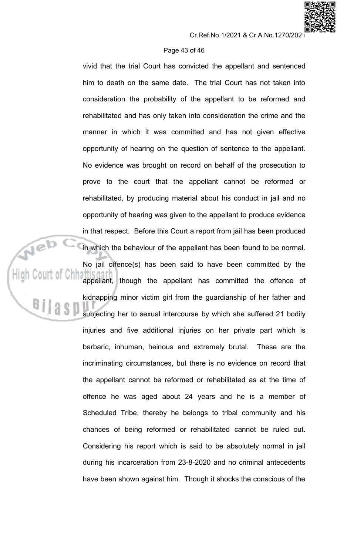# Page 43 of 46

vivid that the trial Court has convicted the appellant and sentenced him to death on the same date. The trial Court has not taken into consideration the probability of the appellant to be reformed and rehabilitated and has only taken into consideration the crime and the manner in which it was committed and has not given effective opportunity of hearing on the question of sentence to the appellant. No evidence was brought on record on behalf of the prosecution to prove to the court that the appellant cannot be reformed or rehabilitated, by producing material about his conduct in jail and no opportunity of hearing was given to the appellant to produce evidence in that respect. Before this Court a report from jail has been produced in which the behaviour of the appellant has been found to be normal.

No jail offence(s) has been said to have been committed by the appellant, though the appellant has committed the offence of kidnapping minor victim girl from the guardianship of her father and subjecting her to sexual intercourse by which she suffered 21 bodily injuries and five additional injuries on her private part which is barbaric, inhuman, heinous and extremely brutal. These are the incriminating circumstances, but there is no evidence on record that the appellant cannot be reformed or rehabilitated as at the time of offence he was aged about 24 years and he is a member of Scheduled Tribe, thereby he belongs to tribal community and his chances of being reformed or rehabilitated cannot be ruled out. Considering his report which is said to be absolutely normal in jail during his incarceration from 23-8-2020 and no criminal antecedents have been shown against him. Though it shocks the conscious of the

Neb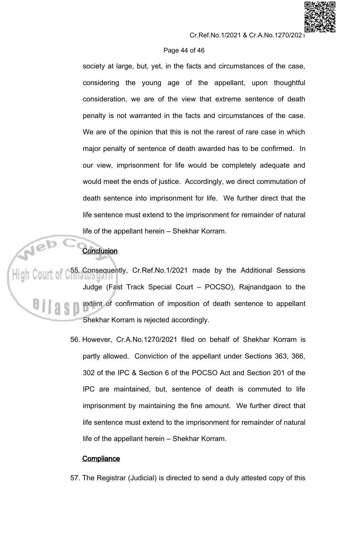# Cr.Ref.No.1/2021 & Cr.A.No.1270/202

# Page 44 of 46

society at large, but, yet, in the facts and circumstances of the case, considering the young age of the appellant, upon thoughtful consideration, we are of the view that extreme sentence of death penalty is not warranted in the facts and circumstances of the case. We are of the opinion that this is not the rarest of rare case in which major penalty of sentence of death awarded has to be confirmed. In our view, imprisonment for life would be completely adequate and would meet the ends of justice. Accordingly, we direct commutation of death sentence into imprisonment for life. We further direct that the life sentence must extend to the imprisonment for remainder of natural life of the appellant herein - Shekhar Korram.

# **Conclusion**

55. Consequently, Cr.Ref.No.1/2021 made by the Additional Sessions Judge (Fast Track Special Court - POCSO), Rajnandgaon to the extent of confirmation of imposition of death sentence to appellant Shekhar Korram is rejected accordingly.

> 56. However, Cr.A.No.1270/2021 filed on behalf of Shekhar Korram is partly allowed. Conviction of the appellant under Sections 363, 366, 302 of the IPC & Section 6 of the POCSO Act and Section 201 of the IPC are maintained, but, sentence of death is commuted to life imprisonment by maintaining the fine amount. We further direct that life sentence must extend to the imprisonment for remainder of natural life of the appellant herein – Shekhar Korram.

# **Compliance**

57. The Registrar (Judicial) is directed to send a duly attested copy of this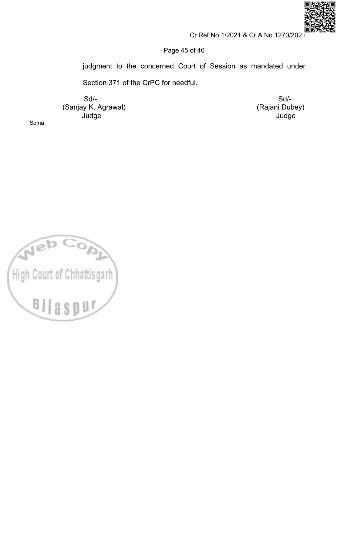

 $Sd$ -

Judge

(Rajani Dubey)

# Page 45 of 46

judgment to the concerned Court of Session as mandated under

Section 371 of the CrPC for needful.

 $Sd$ -(Sanjay K. Agrawal) Judge

Soma